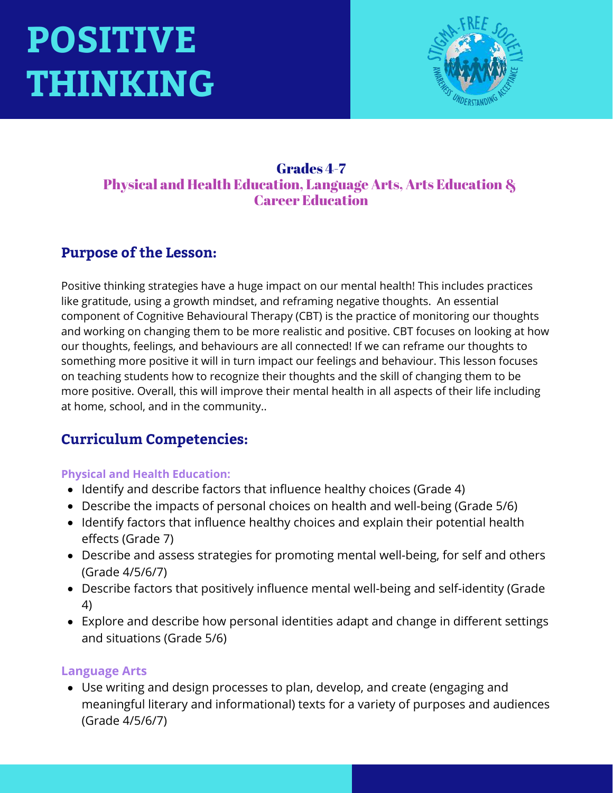# **POSITIVE THINKING**



#### Grades 4-7 Physical and Health Education, Language Arts, Arts Education & Career Education

### **Purpose of the Lesson:**

Positive thinking strategies have a huge impact on our mental health! This includes practices like gratitude, using a growth mindset, and reframing negative thoughts. An essential component of Cognitive Behavioural Therapy (CBT) is the practice of monitoring our thoughts and working on changing them to be more realistic and positive. CBT focuses on looking at how our thoughts, feelings, and behaviours are all connected! If we can reframe our thoughts to something more positive it will in turn impact our feelings and behaviour. This lesson focuses on teaching students how to recognize their thoughts and the skill of changing them to be more positive. Overall, this will improve their mental health in all aspects of their life including at home, school, and in the community..

## **Curriculum Competencies:**

#### **Physical and Health Education:**

- Identify and describe factors that influence healthy choices (Grade 4)
- Describe the impacts of personal choices on health and well-being (Grade 5/6)
- Identify factors that influence healthy choices and explain their potential health effects (Grade 7)
- Describe and assess strategies for promoting mental well-being, for self and others (Grade 4/5/6/7)
- Describe factors that positively influence mental well-being and self-identity (Grade 4)
- Explore and describe how personal identities adapt and change in different settings and situations (Grade 5/6)

#### **Language Arts**

Use writing and design processes to plan, develop, and create (engaging and meaningful literary and informational) texts for a variety of purposes and audiences (Grade 4/5/6/7)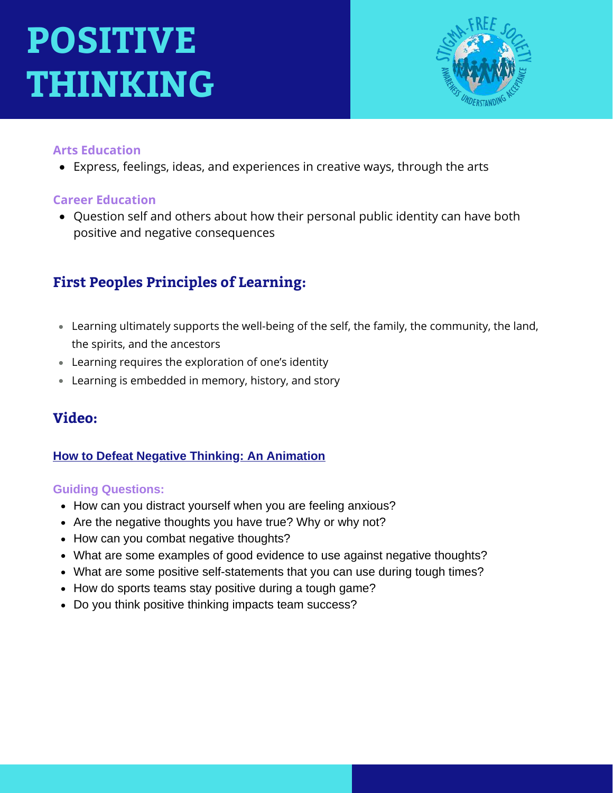# **POSITIVE THINKING**



#### **Arts Education**

Express, feelings, ideas, and experiences in creative ways, through the arts

#### **Career Education**

Question self and others about how their personal public identity can have both positive and negative consequences

# **First Peoples Principles of Learning:**

- Learning ultimately supports the well-being of the self, the family, the community, the land, the spirits, and the ancestors
- Learning requires the exploration of one's identity
- Learning is embedded in memory, history, and story

## **Video:**

#### **[How to Defeat Negative Thinking: An Animation](https://www.youtube.com/watch?v=_XLY_XXBQWE)**

#### **Guiding Questions:**

- How can you distract yourself when you are feeling anxious?
- Are the negative thoughts you have true? Why or why not?
- How can you combat negative thoughts?
- What are some examples of good evidence to use against negative thoughts?
- What are some positive self-statements that you can use during tough times?
- How do sports teams stay positive during a tough game?
- Do you think positive thinking impacts team success?